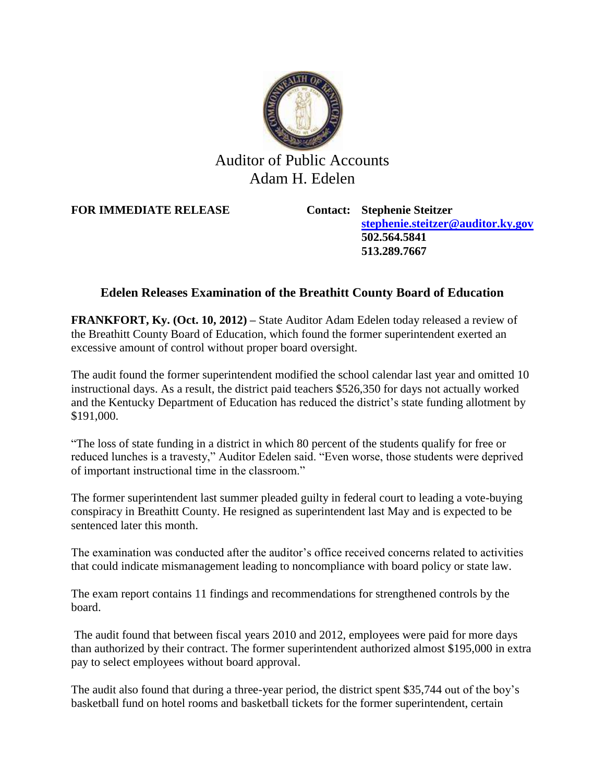

## Auditor of Public Accounts Adam H. Edelen

**FOR IMMEDIATE RELEASE Contact: Stephenie Steitzer**

**[stephenie.steitzer@auditor.ky.gov](mailto:stephenie.steitzer@auditor.ky.gov) 502.564.5841 513.289.7667**

## **Edelen Releases Examination of the Breathitt County Board of Education**

**FRANKFORT, Ky. (Oct. 10, 2012) –** State Auditor Adam Edelen today released a review of the Breathitt County Board of Education, which found the former superintendent exerted an excessive amount of control without proper board oversight.

The audit found the former superintendent modified the school calendar last year and omitted 10 instructional days. As a result, the district paid teachers \$526,350 for days not actually worked and the Kentucky Department of Education has reduced the district's state funding allotment by \$191,000.

"The loss of state funding in a district in which 80 percent of the students qualify for free or reduced lunches is a travesty," Auditor Edelen said. "Even worse, those students were deprived of important instructional time in the classroom."

The former superintendent last summer pleaded guilty in federal court to leading a vote-buying conspiracy in Breathitt County. He resigned as superintendent last May and is expected to be sentenced later this month.

The examination was conducted after the auditor's office received concerns related to activities that could indicate mismanagement leading to noncompliance with board policy or state law.

The exam report contains 11 findings and recommendations for strengthened controls by the board.

The audit found that between fiscal years 2010 and 2012, employees were paid for more days than authorized by their contract. The former superintendent authorized almost \$195,000 in extra pay to select employees without board approval.

The audit also found that during a three-year period, the district spent \$35,744 out of the boy's basketball fund on hotel rooms and basketball tickets for the former superintendent, certain